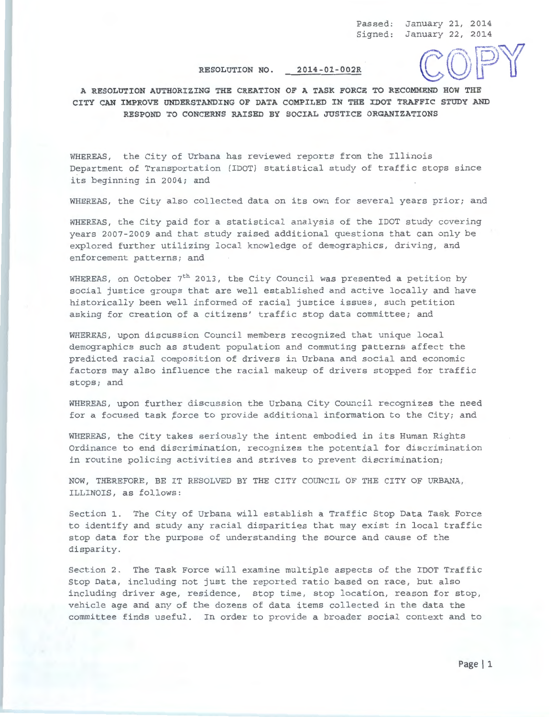Passed: January 21, 2014 Signed: January 22, 2014

## **RESOLUTION NO. 2014-01-002R**

**A RESOLUTION AUTHORIZING THE CREATION OF A TASK FORCE TO RECOMMEND HOW THE CITY CAN IMPROVE UNDERSTANDING OF DATA COMPILED IN THE IDOT TRAFFIC STUDY AND RESPOND TO CONCERNS RAISED BY SOCIAL JUSTICE ORGANIZATIONS** 

WHEREAS, the City of Urbana has reviewed reports from the Illinois Department of Transportation (IDOT) statistical study of traffic stops since its beginning in 2004; and

WHEREAS, the City also collected data on its own for several years prior; and

WHEREAS, the City paid for a statistical analysis of the IDOT study covering years 2007-2009 and that study raised additional questions that can only be explored further utilizing local knowledge of demographics, driving, and enforcement patterns; and

WHEREAS, on October  $7<sup>th</sup>$  2013, the City Council was presented a petition by social justice groups that are well established and active locally and have historically been well informed of racial justice issues, such petition asking for creation of a citizens' traffic stop data committee; and

WHEREAS, upon discussion Council members recognized that unique local demographics such as student population and commuting patterns affect the predicted racial composition of drivers in Urbana and social and economic factors may also influence the racial makeup of drivers stopped for traffic stops; and

WHEREAS, upon further discussion the Urbana City Council recognizes the need for a focused task *torce* to provide additional information to the City; and

WHEREAS, the City takes seriously the intent embodied in its Human Rights Ordinance to end discrimination, recognizes the potential for discrimination in routine policing activities and strives to prevent discrimination;

NOW, THEREFORE, BE IT RESOLVED BY THE CITY COUNCIL OF THE CITY OF URBANA, ILLINOIS, as follows:

Section 1. The City of Urbana will establish a Traffic Stop Data Task Force to identify and study any racial disparities that may exist in local traffic stop data for the purpose of understanding the source and cause of the disparity.

Section 2. The Task Force will examine multiple aspects of the IDOT Traffic Stop Data, including not just the reported ratio based on race, but also including driver age, residence, stop time, stop location, reason for stop, vehicle age and any of the dozens of data items collected in the data the committee finds useful. In order to provide a broader social context and to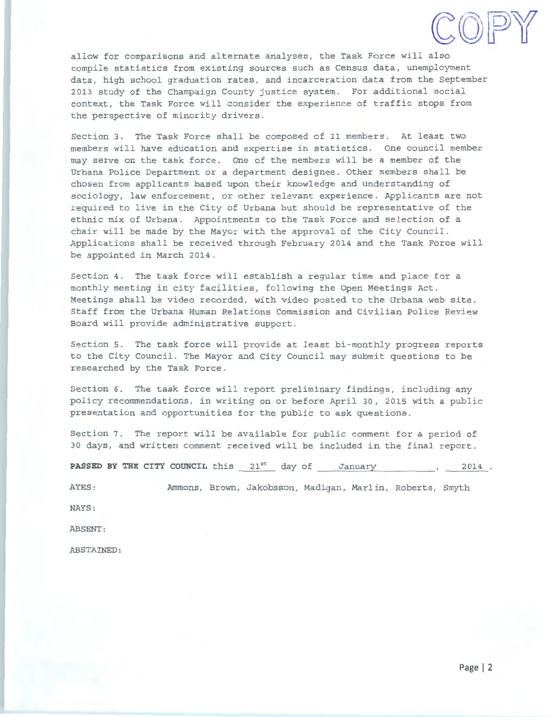

allow for comparisons and alternate analyses, the Task Force will also compile statistics from existing sources such as Census data, unemployment data, high school graduation rates, and incarceration data from the September 2013 study of the Champaign County justice system. For additional social context, the Task Force will consider the experience of traffic stops from the perspective of minority drivers.

Section 3. The Task Force shall be composed of 11 members. At least two members will have education and expertise in statistics. One council member may serve on the task force. One of the members will be a member of the Urbana Police Department or a department designee. Other members shall be chosen from applicants based upon their knowledge and understanding of sociology, law enforcement, or other relevant experience. Applicants are not required to live in the City of Urbana but should be representative of the ethnic mix of Urbana. Appointments to the Task Force and selection of a chair will be made by the Mayor with the approval of the City Council. Applications shall be received through February 2014 and the Task Force will be appointed in March 2014.

Section 4. The task force will establish a regular time and place for a monthly meeting in city facilities, following the Open Meetings Act. Meetings shall be video recorded, with video posted to the Urbana web site. Staff from the Urbana Human Relations Commission and Civilian Police Review Board will provide administrative support.

Section 5. The task force will provide at least bi-monthly progress reports to the City Council. The Mayor and City Council may submit questions to be researched by the Task Force.

Section 6. The task force will report preliminary findings, including any policy recommendations, in writing on or before April 30, 2015 with a public presentation and opportunities for the public to ask questions.

Section 7. The report will be available for public comment for a period of 30 days, and written comment received will be included in the final report.

**PASSED BY THE CITY COUNCIL** this  $21^{st}$  day of January 1977 1978.

AYES: Ammons, Brown, Jakobsson, Madigan, Marlin, Roberts, Smyth

NAYS:

ABSENT:

ABSTAINED: